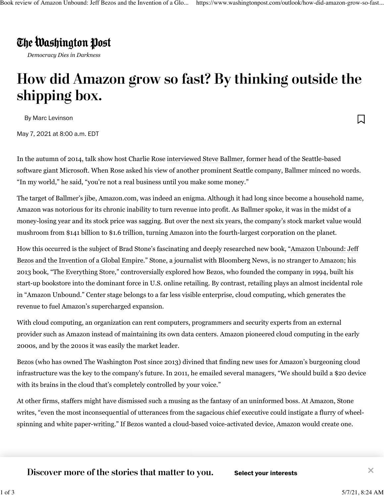## The Washington Post

*Democracy Dies in Darkness*

# How did Amazon grow so fast? By thinking outside the shipping box.

By Marc Levinson

May 7, 2021 at 8:00 a.m. EDT

In the autumn of 2014, talk show host Charlie Rose interviewed Steve Ballmer, former head of the Seattle-based software giant Microsoft. When Rose asked his view of another prominent Seattle company, Ballmer minced no words. "In my world," he said, "you're not a real business until you make some money."

The target of Ballmer's jibe, Amazon.com, was indeed an enigma. Although it had long since become a household name, Amazon was notorious for its chronic inability to turn revenue into profit. As Ballmer spoke, it was in the midst of a money-losing year and its stock price was sagging. But over the next six years, the company's stock market value would mushroom from \$141 billion to \$1.6 trillion, turning Amazon into the fourth-largest corporation on the planet.

How this occurred is the subject of Brad Stone's fascinating and deeply researched new book, "Amazon Unbound: Jeff Bezos and the Invention of a Global Empire." Stone, a journalist with Bloomberg News, is no stranger to Amazon; his 2013 book, "The Everything Store," controversially explored how Bezos, who founded the company in 1994, built his start-up bookstore into the dominant force in U.S. online retailing. By contrast, retailing plays an almost incidental role in "Amazon Unbound." Center stage belongs to a far less visible enterprise, cloud computing, which generates the revenue to fuel Amazon's supercharged expansion.

With cloud computing, an organization can rent computers, programmers and security experts from an external provider such as Amazon instead of maintaining its own data centers. Amazon pioneered cloud computing in the early 2000s, and by the 2010s it was easily the market leader.

Bezos (who has owned The Washington Post since 2013) divined that finding new uses for Amazon's burgeoning cloud infrastructure was the key to the company's future. In 2011, he emailed several managers, "We should build a \$20 device with its brains in the cloud that's completely controlled by your voice."

At other firms, staffers might have dismissed such a musing as the fantasy of an uninformed boss. At Amazon, Stone writes, "even the most inconsequential of utterances from the sagacious chief executive could instigate a flurry of wheelspinning and white paper-writing." If Bezos wanted a cloud-based voice-activated device, Amazon would create one.

Discover more of the stories that matter to you. Select your interests

 $\times$ 

 $\sum$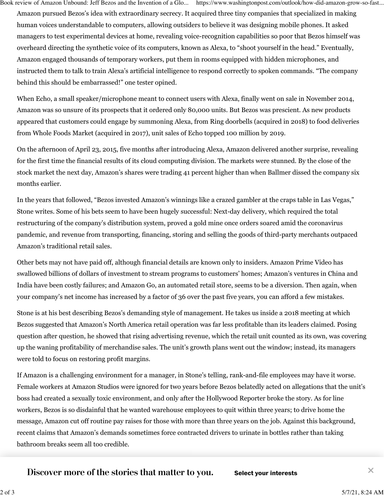Book review of Amazon Unbound: Jeff Bezos and the Invention of a Glo... https://www.washingtonpost.com/outlook/how-did-amazon-grow-so-fast...

Amazon pursued Bezos's idea with extraordinary secrecy. It acquired three tiny companies that specialized in making human voices understandable to computers, allowing outsiders to believe it was designing mobile phones. It asked managers to test experimental devices at home, revealing voice-recognition capabilities so poor that Bezos himself was overheard directing the synthetic voice of its computers, known as Alexa, to "shoot yourself in the head." Eventually, Amazon engaged thousands of temporary workers, put them in rooms equipped with hidden microphones, and instructed them to talk to train Alexa's artificial intelligence to respond correctly to spoken commands. "The company behind this should be embarrassed!" one tester opined.

When Echo, a small speaker/microphone meant to connect users with Alexa, finally went on sale in November 2014, Amazon was so unsure of its prospects that it ordered only 80,000 units. But Bezos was prescient. As new products appeared that customers could engage by summoning Alexa, from Ring doorbells (acquired in 2018) to food deliveries from Whole Foods Market (acquired in 2017), unit sales of Echo topped 100 million by 2019.

On the afternoon of April 23, 2015, five months after introducing Alexa, Amazon delivered another surprise, revealing for the first time the financial results of its cloud computing division. The markets were stunned. By the close of the stock market the next day, Amazon's shares were trading 41 percent higher than when Ballmer dissed the company six months earlier.

In the years that followed, "Bezos invested Amazon's winnings like a crazed gambler at the craps table in Las Vegas," Stone writes. Some of his bets seem to have been hugely successful: Next-day delivery, which required the total restructuring of the company's distribution system, proved a gold mine once orders soared amid the coronavirus pandemic, and revenue from transporting, financing, storing and selling the goods of third-party merchants outpaced Amazon's traditional retail sales.

Other bets may not have paid off, although financial details are known only to insiders. Amazon Prime Video has swallowed billions of dollars of investment to stream programs to customers' homes; Amazon's ventures in China and India have been costly failures; and Amazon Go, an automated retail store, seems to be a diversion. Then again, when your company's net income has increased by a factor of 36 over the past five years, you can afford a few mistakes.

Stone is at his best describing Bezos's demanding style of management. He takes us inside a 2018 meeting at which Bezos suggested that Amazon's North America retail operation was far less profitable than its leaders claimed. Posing question after question, he showed that rising advertising revenue, which the retail unit counted as its own, was covering up the waning profitability of merchandise sales. The unit's growth plans went out the window; instead, its managers were told to focus on restoring profit margins.

If Amazon is a challenging environment for a manager, in Stone's telling, rank-and-file employees may have it worse. Female workers at Amazon Studios were ignored for two years before Bezos belatedly acted on allegations that the unit's boss had created a sexually toxic environment, and only after the Hollywood Reporter broke the story. As for line workers, Bezos is so disdainful that he wanted warehouse employees to quit within three years; to drive home the message, Amazon cut off routine pay raises for those with more than three years on the job. Against this background, recent claims that Amazon's demands sometimes force contracted drivers to urinate in bottles rather than taking bathroom breaks seem all too credible.

Discover more of the stories that matter to you. Select your interests